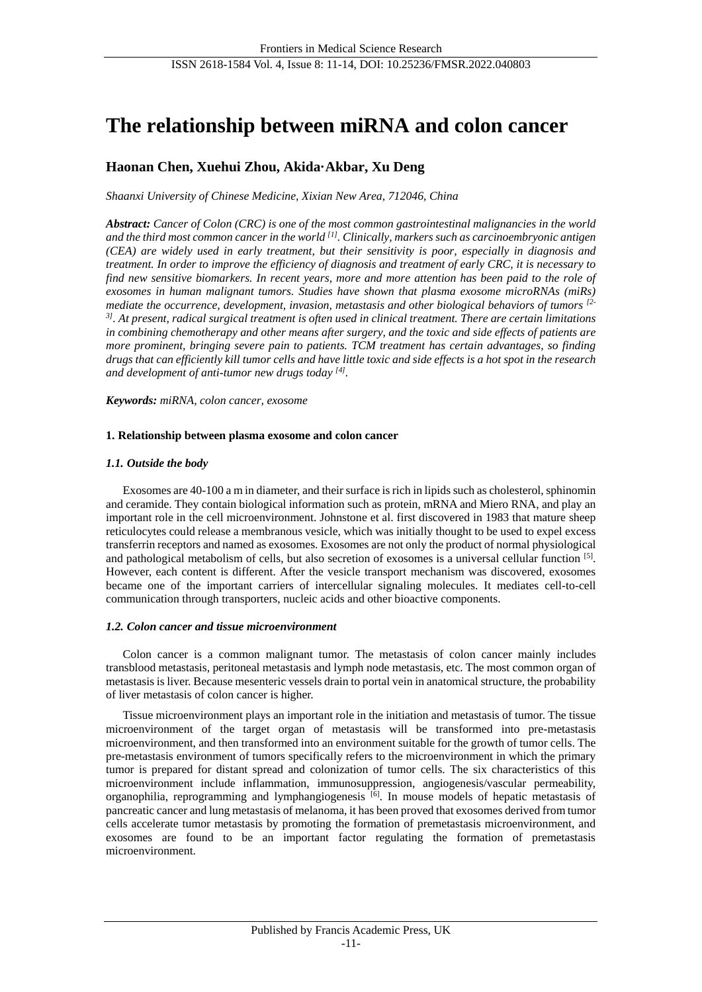# **The relationship between miRNA and colon cancer**

# **Haonan Chen, Xuehui Zhou, Akida·Akbar, Xu Deng**

*Shaanxi University of Chinese Medicine, Xixian New Area, 712046, China*

*Abstract: Cancer of Colon (CRC) is one of the most common gastrointestinal malignancies in the world and the third most common cancer in the world [1]. Clinically, markers such as carcinoembryonic antigen (CEA) are widely used in early treatment, but their sensitivity is poor, especially in diagnosis and treatment. In order to improve the efficiency of diagnosis and treatment of early CRC, it is necessary to find new sensitive biomarkers. In recent years, more and more attention has been paid to the role of exosomes in human malignant tumors. Studies have shown that plasma exosome microRNAs (miRs) mediate the occurrence, development, invasion, metastasis and other biological behaviors of tumors [2- 3] . At present, radical surgical treatment is often used in clinical treatment. There are certain limitations in combining chemotherapy and other means after surgery, and the toxic and side effects of patients are more prominent, bringing severe pain to patients. TCM treatment has certain advantages, so finding drugs that can efficiently kill tumor cells and have little toxic and side effects is a hot spot in the research and development of anti-tumor new drugs today [4] .*

*Keywords: miRNA, colon cancer, exosome*

### **1. Relationship between plasma exosome and colon cancer**

#### *1.1. Outside the body*

Exosomes are 40-100 a m in diameter, and their surface is rich in lipids such as cholesterol, sphinomin and ceramide. They contain biological information such as protein, mRNA and Miero RNA, and play an important role in the cell microenvironment. Johnstone et al. first discovered in 1983 that mature sheep reticulocytes could release a membranous vesicle, which was initially thought to be used to expel excess transferrin receptors and named as exosomes. Exosomes are not only the product of normal physiological and pathological metabolism of cells, but also secretion of exosomes is a universal cellular function [5]. However, each content is different. After the vesicle transport mechanism was discovered, exosomes became one of the important carriers of intercellular signaling molecules. It mediates cell-to-cell communication through transporters, nucleic acids and other bioactive components.

#### *1.2. Colon cancer and tissue microenvironment*

Colon cancer is a common malignant tumor. The metastasis of colon cancer mainly includes transblood metastasis, peritoneal metastasis and lymph node metastasis, etc. The most common organ of metastasis is liver. Because mesenteric vessels drain to portal vein in anatomical structure, the probability of liver metastasis of colon cancer is higher.

Tissue microenvironment plays an important role in the initiation and metastasis of tumor. The tissue microenvironment of the target organ of metastasis will be transformed into pre-metastasis microenvironment, and then transformed into an environment suitable for the growth of tumor cells. The pre-metastasis environment of tumors specifically refers to the microenvironment in which the primary tumor is prepared for distant spread and colonization of tumor cells. The six characteristics of this microenvironment include inflammation, immunosuppression, angiogenesis/vascular permeability, organophilia, reprogramming and lymphangiogenesis [6]. In mouse models of hepatic metastasis of pancreatic cancer and lung metastasis of melanoma, it has been proved that exosomes derived from tumor cells accelerate tumor metastasis by promoting the formation of premetastasis microenvironment, and exosomes are found to be an important factor regulating the formation of premetastasis microenvironment.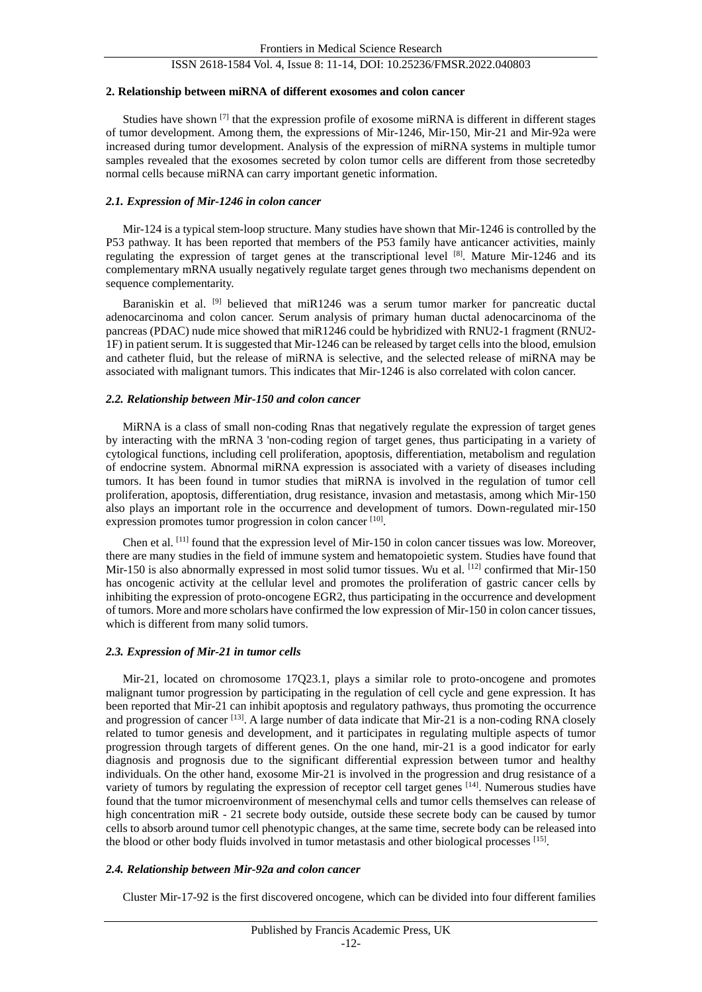## ISSN 2618-1584 Vol. 4, Issue 8: 11-14, DOI: 10.25236/FMSR.2022.040803

#### **2. Relationship between miRNA of different exosomes and colon cancer**

Studies have shown [7] that the expression profile of exosome miRNA is different in different stages of tumor development. Among them, the expressions of Mir-1246, Mir-150, Mir-21 and Mir-92a were increased during tumor development. Analysis of the expression of miRNA systems in multiple tumor samples revealed that the exosomes secreted by colon tumor cells are different from those secretedby normal cells because miRNA can carry important genetic information.

### *2.1. Expression of Mir-1246 in colon cancer*

Mir-124 is a typical stem-loop structure. Many studies have shown that Mir-1246 is controlled by the P53 pathway. It has been reported that members of the P53 family have anticancer activities, mainly regulating the expression of target genes at the transcriptional level [8]. Mature Mir-1246 and its complementary mRNA usually negatively regulate target genes through two mechanisms dependent on sequence complementarity.

Baraniskin et al. [9] believed that miR1246 was a serum tumor marker for pancreatic ductal adenocarcinoma and colon cancer. Serum analysis of primary human ductal adenocarcinoma of the pancreas (PDAC) nude mice showed that miR1246 could be hybridized with RNU2-1 fragment (RNU2- 1F) in patient serum. It is suggested that Mir-1246 can be released by target cells into the blood, emulsion and catheter fluid, but the release of miRNA is selective, and the selected release of miRNA may be associated with malignant tumors. This indicates that Mir-1246 is also correlated with colon cancer.

#### *2.2. Relationship between Mir-150 and colon cancer*

MiRNA is a class of small non-coding Rnas that negatively regulate the expression of target genes by interacting with the mRNA 3 'non-coding region of target genes, thus participating in a variety of cytological functions, including cell proliferation, apoptosis, differentiation, metabolism and regulation of endocrine system. Abnormal miRNA expression is associated with a variety of diseases including tumors. It has been found in tumor studies that miRNA is involved in the regulation of tumor cell proliferation, apoptosis, differentiation, drug resistance, invasion and metastasis, among which Mir-150 also plays an important role in the occurrence and development of tumors. Down-regulated mir-150 expression promotes tumor progression in colon cancer [10].

Chen et al. [11] found that the expression level of Mir-150 in colon cancer tissues was low. Moreover, there are many studies in the field of immune system and hematopoietic system. Studies have found that Mir-150 is also abnormally expressed in most solid tumor tissues. Wu et al. [12] confirmed that Mir-150 has oncogenic activity at the cellular level and promotes the proliferation of gastric cancer cells by inhibiting the expression of proto-oncogene EGR2, thus participating in the occurrence and development of tumors. More and more scholars have confirmed the low expression of Mir-150 in colon cancer tissues, which is different from many solid tumors.

### *2.3. Expression of Mir-21 in tumor cells*

Mir-21, located on chromosome 17Q23.1, plays a similar role to proto-oncogene and promotes malignant tumor progression by participating in the regulation of cell cycle and gene expression. It has been reported that Mir-21 can inhibit apoptosis and regulatory pathways, thus promoting the occurrence and progression of cancer <sup>[13]</sup>. A large number of data indicate that Mir-21 is a non-coding RNA closely related to tumor genesis and development, and it participates in regulating multiple aspects of tumor progression through targets of different genes. On the one hand, mir-21 is a good indicator for early diagnosis and prognosis due to the significant differential expression between tumor and healthy individuals. On the other hand, exosome Mir-21 is involved in the progression and drug resistance of a variety of tumors by regulating the expression of receptor cell target genes [14]. Numerous studies have found that the tumor microenvironment of mesenchymal cells and tumor cells themselves can release of high concentration miR - 21 secrete body outside, outside these secrete body can be caused by tumor cells to absorb around tumor cell phenotypic changes, at the same time, secrete body can be released into the blood or other body fluids involved in tumor metastasis and other biological processes [15].

## *2.4. Relationship between Mir-92a and colon cancer*

Cluster Mir-17-92 is the first discovered oncogene, which can be divided into four different families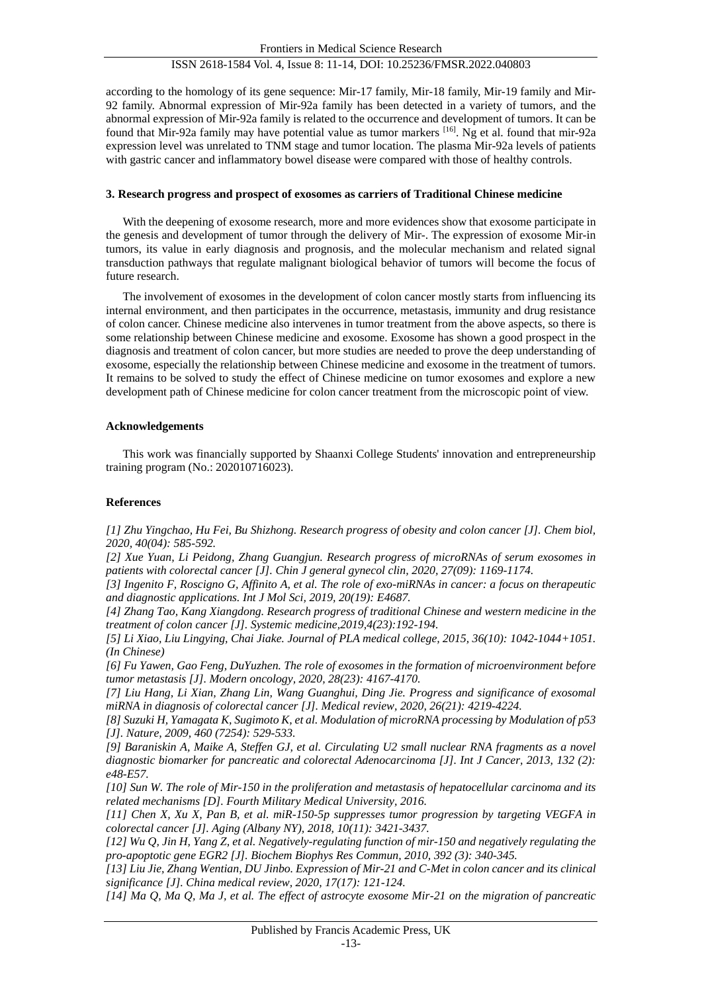# ISSN 2618-1584 Vol. 4, Issue 8: 11-14, DOI: 10.25236/FMSR.2022.040803

according to the homology of its gene sequence: Mir-17 family, Mir-18 family, Mir-19 family and Mir-92 family. Abnormal expression of Mir-92a family has been detected in a variety of tumors, and the abnormal expression of Mir-92a family is related to the occurrence and development of tumors. It can be found that Mir-92a family may have potential value as tumor markers [16]. Ng et al. found that mir-92a expression level was unrelated to TNM stage and tumor location. The plasma Mir-92a levels of patients with gastric cancer and inflammatory bowel disease were compared with those of healthy controls.

#### **3. Research progress and prospect of exosomes as carriers of Traditional Chinese medicine**

With the deepening of exosome research, more and more evidences show that exosome participate in the genesis and development of tumor through the delivery of Mir-. The expression of exosome Mir-in tumors, its value in early diagnosis and prognosis, and the molecular mechanism and related signal transduction pathways that regulate malignant biological behavior of tumors will become the focus of future research.

The involvement of exosomes in the development of colon cancer mostly starts from influencing its internal environment, and then participates in the occurrence, metastasis, immunity and drug resistance of colon cancer. Chinese medicine also intervenes in tumor treatment from the above aspects, so there is some relationship between Chinese medicine and exosome. Exosome has shown a good prospect in the diagnosis and treatment of colon cancer, but more studies are needed to prove the deep understanding of exosome, especially the relationship between Chinese medicine and exosome in the treatment of tumors. It remains to be solved to study the effect of Chinese medicine on tumor exosomes and explore a new development path of Chinese medicine for colon cancer treatment from the microscopic point of view.

#### **Acknowledgements**

This work was financially supported by Shaanxi College Students' innovation and entrepreneurship training program (No.: 202010716023).

### **References**

*[1] Zhu Yingchao, Hu Fei, Bu Shizhong. Research progress of obesity and colon cancer [J]. Chem biol, 2020, 40(04): 585-592.*

*[2] Xue Yuan, Li Peidong, Zhang Guangjun. Research progress of microRNAs of serum exosomes in patients with colorectal cancer [J]. Chin J general gynecol clin, 2020, 27(09): 1169-1174.*

*[3] Ingenito F, Roscigno G, Affinito A, et al. The role of exo-miRNAs in cancer: a focus on therapeutic and diagnostic applications. Int J Mol Sci, 2019, 20(19): E4687.*

*[4] Zhang Tao, Kang Xiangdong. Research progress of traditional Chinese and western medicine in the treatment of colon cancer [J]. Systemic medicine,2019,4(23):192-194.*

*[5] Li Xiao, Liu Lingying, Chai Jiake. Journal of PLA medical college, 2015, 36(10): 1042-1044+1051. (In Chinese)*

*[6] Fu Yawen, Gao Feng, DuYuzhen. The role of exosomes in the formation of microenvironment before tumor metastasis [J]. Modern oncology, 2020, 28(23): 4167-4170.*

*[7] Liu Hang, Li Xian, Zhang Lin, Wang Guanghui, Ding Jie. Progress and significance of exosomal miRNA in diagnosis of colorectal cancer [J]. Medical review, 2020, 26(21): 4219-4224.*

*[8] Suzuki H, Yamagata K, Sugimoto K, et al. Modulation of microRNA processing by Modulation of p53 [J]. Nature, 2009, 460 (7254): 529-533.*

*[9] Baraniskin A, Maike A, Steffen GJ, et al. Circulating U2 small nuclear RNA fragments as a novel diagnostic biomarker for pancreatic and colorectal Adenocarcinoma [J]. Int J Cancer, 2013, 132 (2): e48-E57.*

*[10] Sun W. The role of Mir-150 in the proliferation and metastasis of hepatocellular carcinoma and its related mechanisms [D]. Fourth Military Medical University, 2016.*

*[11] Chen X, Xu X, Pan B, et al. miR-150-5p suppresses tumor progression by targeting VEGFA in colorectal cancer [J]. Aging (Albany NY), 2018, 10(11): 3421-3437.*

*[12] Wu Q, Jin H, Yang Z, et al. Negatively-regulating function of mir-150 and negatively regulating the pro-apoptotic gene EGR2 [J]. Biochem Biophys Res Commun, 2010, 392 (3): 340-345.*

*[13] Liu Jie, Zhang Wentian, DU Jinbo. Expression of Mir-21 and C-Met in colon cancer and its clinical significance [J]. China medical review, 2020, 17(17): 121-124.*

*[14] Ma Q, Ma Q, Ma J, et al. The effect of astrocyte exosome Mir-21 on the migration of pancreatic*